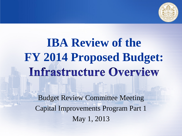

# **IBA Review of the FY 2014 Proposed Budget: Infrastructure Overview**

Budget Review Committee Meeting Capital Improvements Program Part 1 May 1, 2013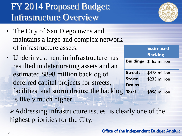### FY 2014 Proposed Budget: Infrastructure Overview

- The City of San Diego owns and maintains a large and complex network of infrastructure assets.
- Underinvestment in infrastructure has resulted in deteriorating assets and an estimated \$898 million backlog of deferred capital projects for streets, facilities, and storm drains; the backlog is likely much higher.



|                  | <b>Estimated</b> |
|------------------|------------------|
|                  | <b>Backlog</b>   |
| <b>Buildings</b> | \$185 million    |
|                  |                  |
| <b>Streets</b>   | \$478 million    |
| <b>Storm</b>     | \$235 million    |
| <b>Drains</b>    |                  |
| Total            | \$898 million    |

Addressing infrastructure issues is clearly one of the highest priorities for the City.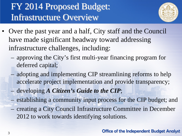### FY 2014 Proposed Budget: Infrastructure Overview



- Over the past year and a half, City staff and the Council have made significant headway toward addressing infrastructure challenges, including:
	- approving the City's first multi-year financing program for deferred capital;
	- adopting and implementing CIP streamlining reforms to help accelerate project implementation and provide transparency;
	- developing *A Citizen's Guide to the CIP*;
	- establishing a community input process for the CIP budget; and
	- creating a City Council Infrastructure Committee in December 2012 to work towards identifying solutions.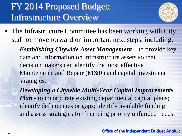### FY 2014 Proposed Budget: Infrastructure Overview



- The Infrastructure Committee has been working with City staff to move forward on important next steps, including:
	- *Establishing Citywide Asset Management* to provide key data and information on infrastructure assets so that decision makers can identify the most effective Maintenance and Repair (M&R) and capital investment strategies.
	- *Developing a Citywide Multi-Year Capital Improvements Plan -* to incorporate existing departmental capital plans; identify deficiencies or gaps; identify available funding; and assess strategies for financing priority unfunded needs.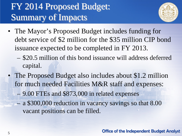### FY 2014 Proposed Budget: Summary of Impacts



- The Mayor's Proposed Budget includes funding for debt service of \$2 million for the \$35 million CIP bond issuance expected to be completed in FY 2013.
	- \$20.5 million of this bond issuance will address deferred capital.
- The Proposed Budget also includes about \$1.2 million for much needed Facilities M&R staff and expenses:
	- 9.00 FTEs and \$873,000 in related expenses
	- a \$300,000 reduction in vacancy savings so that 8.00 vacant positions can be filled.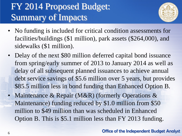### FY 2014 Proposed Budget: Summary of Impacts



- No funding is included for critical condition assessments for facilities/buildings (\$1 million), park assets (\$264,000), and sidewalks (\$1 million).
- Delay of the next \$80 million deferred capital bond issuance from spring/early summer of 2013 to January 2014 as well as delay of all subsequent planned issuances to achieve annual debt service savings of \$5.6 million over 5 years, but provides \$85.5 million less in bond funding than Enhanced Option B.
- Maintenance & Repair (M&R) (formerly Operations & Maintenance) funding reduced by \$1.0 million from \$50 million to \$49 million than was scheduled in Enhanced Option B. This is \$5.1 million less than FY 2013 funding.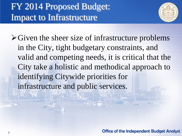### FY 2014 Proposed Budget: Impact to Infrastructure



 $\triangleright$  Given the sheer size of infrastructure problems in the City, tight budgetary constraints, and valid and competing needs, it is critical that the City take a holistic and methodical approach to identifying Citywide priorities for infrastructure and public services.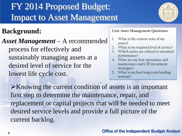#### **Background:**

*Asset Management* – A recommended process for effectively and sustainably managing assets at a desired level of service for the lowest life cycle cost.

**Core Asset Management Questions:**

- 1. What is the current state of my assets?
- 2. What is my required level of service?
- 3. Which assets are critical to sustained performance?
- 4. What are my best operations and maintenance and CIP investment strategies?
- 5. What is my best long-term funding strategy?

 $\triangleright$ Knowing the current condition of assets is an important first step to determine the maintenance, repair, and replacement or capital projects that will be needed to meet desired service levels and provide a full picture of the current backlog.

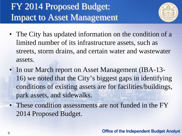

- The City has updated information on the condition of a limited number of its infrastructure assets, such as streets, storm drains, and certain water and wastewater assets.
- In our March report on Asset Management (IBA-13-16) we noted that the City's biggest gaps in identifying conditions of existing assets are for facilities/buildings, park assets, and sidewalks.
- These condition assessments are not funded in the FY 2014 Proposed Budget.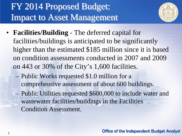1



- **Facilities/Building** The deferred capital for facilities/buildings is anticipated to be significantly higher than the estimated \$185 million since it is based on condition assessments conducted in 2007 and 2009 on 443 or 30% of the City's 1,600 facilities.
	- Public Works requested \$1.0 million for a comprehensive assessment of about 600 buildings. – Public Utilities requested \$600,000 to include water and wastewater facilities/buildings in the Facilities Condition Assessment.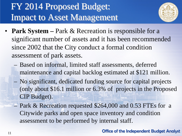

- **Park System** Park & Recreation is responsible for a significant number of assets and it has been recommended since 2002 that the City conduct a formal condition assessment of park assets.
	- Based on informal, limited staff assessments, deferred maintenance and capital backlog estimated at \$121 million.
	- No significant, dedicated funding source for capital projects (only about \$16.1 million or 6.3% of projects in the Proposed CIP Budget).
	- Park & Recreation requested \$264,000 and 0.53 FTEs for a Citywide parks and open space inventory and condition assessment to be performed by internal staff.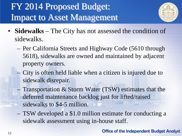

- **Sidewalks** The City has not assessed the condition of sidewalks.
	- Per California Streets and Highway Code (5610 through 5618), sidewalks are owned and maintained by adjacent property owners.
	- City is often held liable when a citizen is injured due to sidewalk disrepair.
	- Transportation & Storm Water (TSW) estimates that the deferred maintenance backlog just for lifted/raised sidewalks to \$4-5 million.
	- TSW developed a \$1.0 million estimate for conducting a sidewalk assessment using in-house staff.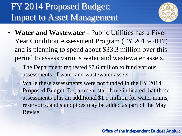

- **Water and Wastewater**  Public Utilities has a Five-Year Condition Assessment Program (FY 2013-2017) and is planning to spend about \$33.3 million over this period to assess various water and wastewater assets.
	- The Department requested \$7.6 million to fund various assessments of water and wastewater assets.
	- While these assessments were not funded in the FY 2014 Proposed Budget, Department staff have indicated that these assessments plus an additional \$1.9 million for water mains, reservoirs, and standpipes may be added as part of the May Revise.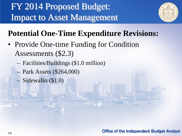

### **Potential One-Time Expenditure Revisions:**

- Provide One-time Funding for Condition Assessments (\$2.3)
	- Facilities/Buildings (\$1.0 million)
	- Park Assets (\$264,000)
	- Sidewalks (\$1.0)

Office of the Independent Budget Analyst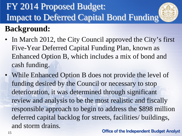

### **Background:**

- In March 2012, the City Council approved the City's first Five-Year Deferred Capital Funding Plan, known as Enhanced Option B, which includes a mix of bond and cash funding.
- While Enhanced Option B does not provide the level of funding desired by the Council or necessary to stop deterioration, it was determined through significant review and analysis to be the most realistic and fiscally responsible approach to begin to address the \$898 million deferred capital backlog for streets, facilities/ buildings, and storm drains.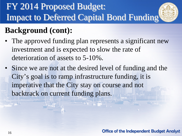

- The approved funding plan represents a significant new investment and is expected to slow the rate of deterioration of assets to 5-10%.
- Since we are not at the desired level of funding and the City's goal is to ramp infrastructure funding, it is imperative that the City stay on course and not backtrack on current funding plans.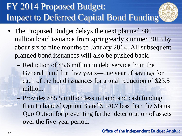

- Reduction of \$5.6 million in debt service from the General Fund for five years—one year of savings for each of the bond issuances for a total reduction of \$23.5 million.
- Provides \$85.5 million less in bond and cash funding than Enhanced Option B and \$170.7 less than the Status Quo Option for preventing further deterioration of assets over the five-year period.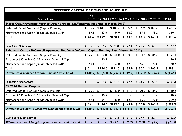| DEFERRED CAPITAL OPTIONS AND SCHEDULE                                                       |                        |             |                                  |                                   |                                    |                                         |              |  |  |
|---------------------------------------------------------------------------------------------|------------------------|-------------|----------------------------------|-----------------------------------|------------------------------------|-----------------------------------------|--------------|--|--|
|                                                                                             | <b>FY</b>              |             |                                  |                                   |                                    |                                         |              |  |  |
| \$ in millions                                                                              | 2012                   |             |                                  |                                   |                                    | FY 2013 FY 2014 FY 2015 FY 2016 FY 2017 | <b>TOTAL</b> |  |  |
| Status Quo/Preventing Further Deterioration (Staff analysis reported in March 2012)         |                        |             |                                  |                                   |                                    |                                         |              |  |  |
| Deferred Capital Net Bond (Capital Projects)                                                | \$105.5                | \$105.2     | \$105.2                          | \$105.2                           | \$105.2                            | \$105.2                                 | \$631.5      |  |  |
| Maintenance and Repair (previously called O&M)                                              | 59.I                   | 53.8        | 54.9                             | 56.0                              | 57.1                               | 58.2                                    | 339.I        |  |  |
| <b>Total</b>                                                                                | \$164.6                | \$159.0     | \$160.1                          | \$161.2                           | \$162.3                            | \$163.4                                 | \$970.6      |  |  |
|                                                                                             |                        |             |                                  |                                   |                                    |                                         |              |  |  |
| <b>Cumulative Debt Service</b>                                                              | \$                     | \$<br>7.5   | \$15.0                           | $\boldsymbol{\mathsf{S}}$<br>22.4 | \$29.9                             | \$37.4                                  | \$112.2      |  |  |
| Enhanced Option B/Council-Approved Five-Year Deferred Capital Funding Plan (March 20, 2012) |                        |             |                                  |                                   |                                    |                                         |              |  |  |
| Deferred Capital Net Bond (Capital Projects)                                                | 75.0<br>$\mathfrak{D}$ | 80.0<br>\$  | \$81.0                           | 90.0<br>\$                        | $\boldsymbol{\mathsf{L}}$<br>84.2  | \$84.2                                  | \$494.4      |  |  |
| Portion of \$35 million CIP Bonds for Deferred Capital                                      |                        | 20.5        |                                  |                                   |                                    |                                         | 20.5         |  |  |
| Maintenance and Repair (previously called O&M)                                              | 59.I                   | 54.1        | 50.0                             | 62.0                              | 66.0                               | 79.0                                    | 370.2        |  |  |
| <b>Total</b>                                                                                | \$134.1                | \$154.6     | \$131.0                          | \$152.0                           | \$150.2                            | \$163.2                                 | \$885.1      |  |  |
| Difference (Enhanced Option B minus Status Quo)                                             | \$ (30.5)              | (4.4)<br>\$ | \$(29.1)                         | $\mathsf{\$}$<br>(9.2)            | \$ (12.1)                          | $\mathbf{S}$<br>(0.2)                   | \$ (85.5)    |  |  |
|                                                                                             |                        |             |                                  |                                   |                                    |                                         |              |  |  |
| <b>Cumulative Debt Service</b>                                                              | \$                     | \$<br>4.6   | \$11.4                           | \$<br>17.1                        | \$23.4                             | \$29.3                                  | \$85.8       |  |  |
| FY 2014 Budget Proposal                                                                     |                        |             |                                  |                                   |                                    |                                         |              |  |  |
| Deferred Capital Net Bond (Capital Projects)                                                | $\mathfrak{D}$<br>75.0 | \$          | \$80.0                           | \$81.0                            | $\mathfrak{L}$<br>90.0             | $\mathsf{\$}$<br>84.2                   | \$410.2      |  |  |
| Portion of \$35 million CIP Bonds for Deferred Capital                                      |                        | 20.5        |                                  |                                   |                                    |                                         | 20.5         |  |  |
| Maintenance and Repair (previously called O&M)                                              | 59.I                   | 54.1        | 49.0                             | 62.0                              | 66.0                               | 79.0                                    | 369.2        |  |  |
| <b>Total</b>                                                                                | \$134.1                | 74.6<br>\$  | \$129.0                          | \$143.0                           | \$156.0                            | \$163.2                                 | \$799.9      |  |  |
| Difference (FY 2014 Budget Proposal minus Status Quo)                                       | \$ (30.5)              | \$ (84.4)   | \$ (31.1)                        | \$(18.2)                          | $\mathbf{\$}$<br>(6.3)             | (0.2)<br>$\mathbf S$                    | \$(170.7)    |  |  |
|                                                                                             |                        |             |                                  |                                   |                                    |                                         |              |  |  |
| <b>Cumulative Debt Service</b>                                                              | \$<br>$\blacksquare$   | \$<br>4.6   | $\boldsymbol{\mathsf{L}}$<br>5.8 | \$<br>11.4                        | $\boldsymbol{\mathsf{S}}$<br>17.1  | \$23.4                                  | \$62.3       |  |  |
| <b>Difference</b> (FY 2014 Budget Proposal minus Enhanced Option B)                         | \$                     | S           | \$<br>(5.6)                      | \$<br>(5.7)                       | $\boldsymbol{\mathsf{s}}$<br>(6.3) | $\boldsymbol{\mathsf{s}}$<br>(5.9)      | \$ (23.5)    |  |  |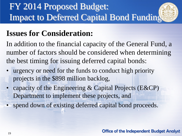### **Issues for Consideration:**

In addition to the financial capacity of the General Fund, a number of factors should be considered when determining the best timing for issuing deferred capital bonds:

- urgency or need for the funds to conduct high priority projects in the \$898 million backlog,
- capacity of the Engineering & Capital Projects (E&CP) Department to implement these projects, and
- spend down of existing deferred capital bond proceeds.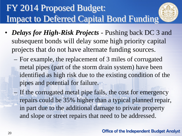

- *Delays for High-Risk Projects*  Pushing back DC 3 and subsequent bonds will delay some high priority capital projects that do not have alternate funding sources.
	- For example, the replacement of 3 miles of corrugated metal pipes (part of the storm drain system) have been identified as high risk due to the existing condition of the pipes and potential for failure.
	- If the corrugated metal pipe fails, the cost for emergency repairs could be 35% higher than a typical planned repair, in part due to the additional damage to private property and slope or street repairs that need to be addressed.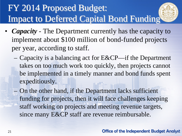

- *Capacity* The Department currently has the capacity to implement about \$100 million of bond-funded projects per year, according to staff.
	- Capacity is a balancing act for E&CP—if the Department takes on too much work too quickly, then projects cannot be implemented in a timely manner and bond funds spent expeditiously.
	- On the other hand, if the Department lacks sufficient funding for projects, then it will face challenges keeping staff working on projects and meeting revenue targets, since many E&CP staff are revenue reimbursable.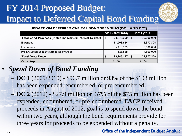

| UPDATE ON DEFERRED CAPITAL BOND SPENDING (DC I AND DC2)  |    |                  |          |             |  |  |  |  |  |
|----------------------------------------------------------|----|------------------|----------|-------------|--|--|--|--|--|
|                                                          |    | DC 1 (2009/2010) |          | DC 2 (2012) |  |  |  |  |  |
| Total Bond Proceeds (including accrued interest to date) | \$ | 103,678,000      | \$       | 75,000,000  |  |  |  |  |  |
| Expended                                                 |    | 91,208,664       |          | 3,377,526   |  |  |  |  |  |
| Encumbered                                               |    | 5,410,965        |          | 10,000,000  |  |  |  |  |  |
| Pre-Encumbered (contracts to be awarded)                 |    | 125,528          |          | 14,500,000  |  |  |  |  |  |
| <b>Total Draw Down</b>                                   | \$ | 96,745,157       | <b>S</b> | 27,877,526  |  |  |  |  |  |
| Percentage                                               |    | 93.3%            |          | 37.2%       |  |  |  |  |  |

#### • *Spend Down of Bond Funding*

- **DC 1** (2009/2010) \$96.7 million or 93% of the \$103 million has been expended, encumbered, or pre-encumbered.
- **DC 2** (2012) \$27.9 million or 37% of the \$75 million has been expended, encumbered, or pre-encumbered. E&CP received proceeds in August of 2012; goal is to spend down the bond within two years, although the bond requirements provide for three years for proceeds to be expended without a penalty.

Office of the Independent Budget Analyst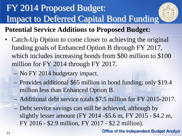

#### **Potential Service Additions to Proposed Budget:**

- Catch-Up Option to come closer to achieving the original funding goals of Enhanced Option B through FY 2017, which includes increasing bonds from \$80 million to \$100 million for FY 2014 through FY 2017.
	- No FY 2014 budgetary impact.
	- Provides additional \$65 million in bond funding; only \$19.4 million less than Enhanced Option B.
	- Additional debt service totals \$7.5 million for FY 2015-2017.
	- Debt service savings can still be achieved, although by slightly lesser amount (FY 2014 -\$5.6 m, FY 2015 - \$4.2 m, FY 2016 - \$2.9 million, FY 2017 - \$2.2 million).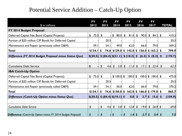#### Potential Service Addition – Catch-Up Option

| \$ in millions                                             | <b>FY</b><br>2012 |                           | <b>FY</b><br>2013 | <b>FY</b><br>2014                                                            |                | <b>FY</b><br>2015 |                           | <b>FY</b><br>2016   |                | <b>FY</b><br>2017                 |               | <b>TOTAL</b> |
|------------------------------------------------------------|-------------------|---------------------------|-------------------|------------------------------------------------------------------------------|----------------|-------------------|---------------------------|---------------------|----------------|-----------------------------------|---------------|--------------|
| FY 2014 Budget Proposal                                    |                   |                           |                   |                                                                              |                |                   |                           |                     |                |                                   |               |              |
| Deferred Capital Net Bond (Capital Projects)               | \$<br>75.0        | $\mathfrak{L}$            |                   | $\mathsf{\$}$<br>80.0                                                        | \$             | 0.18              | $\boldsymbol{\mathsf{S}}$ | 90.0                | $\mathfrak{D}$ | $84.2 \vert \text{ } \frac{1}{2}$ |               | 410.2        |
| Portion of \$35 million CIP Bonds for Deferred Capital     |                   |                           | 20.5              |                                                                              |                |                   |                           |                     |                |                                   |               | 20.5         |
| Maintenance and Repair (previously called O&M)             | 59.I              |                           | 54.I              | 49.0                                                                         |                | 62.0              |                           | 66.0                |                | 79.0                              |               | 369.2        |
| <b>Total</b>                                               | \$134.1           | S                         |                   | 74.6 \$129.0 \$143.0 \$156.0 \$163.2 \$                                      |                |                   |                           |                     |                |                                   |               | 799.9        |
| Difference (FY 2014 Budget Proposal minus Status Quo)      | \$(30.5)          |                           |                   | $\frac{1}{2}$ (84.4) $\frac{1}{2}$ (31.1) $\frac{1}{2}$ (18.2) $\frac{1}{2}$ |                |                   |                           | (6.3)               |                | \$ (0.2)                          | \$            | (170.7)      |
|                                                            |                   |                           |                   |                                                                              |                |                   |                           |                     |                |                                   |               |              |
| <b>Cumulative Debt Service</b>                             | \$                | $\boldsymbol{\mathsf{s}}$ | 4.6               | $\boldsymbol{\mathsf{s}}$<br>5.8                                             | $\mathfrak{L}$ | I.4               | $\sqrt{2}$                | 17.1                | $\sqrt$        | 23.4                              | $\mathfrak s$ | 62.3         |
| <b>IBA Catch-Up Option</b>                                 |                   |                           |                   |                                                                              |                |                   |                           |                     |                |                                   |               |              |
| Deferred Capital Net Bond (Capital Projects)               | \$<br>75.0        | $\mathfrak{L}$            |                   | \$100.0                                                                      | \$             | $100.0$ \$        |                           | 100.0               | $\mathfrak{L}$ | $100.0$ \$                        |               | 475.0        |
| Portion of \$35 million CIP Bonds for Deferred Capital     |                   |                           | 20.5              |                                                                              |                |                   |                           |                     |                |                                   |               | 20.5         |
| Maintenance and Repair (previously called O&M)             | 59.I              |                           | 54.1              | 50.0                                                                         |                | 62.0              |                           | 66.0                |                | 79.0                              |               | 370.2        |
| <b>Total</b>                                               | \$134.1           | \$                        |                   | $74.6$ \$150.0 \$                                                            |                | $162.0$ \$        |                           | $166.0$ \$ 179.0 \$ |                |                                   |               | 865.7        |
| Difference (Catch-Up Option minus Status Quo)              | \$(30.5)          |                           |                   | \$ (84.4) \$ (10.1) \$                                                       |                | 0.8               | $\boldsymbol{\mathsf{s}}$ | 3.7                 | \$             | 15.6                              | \$            | (104.9)      |
|                                                            |                   |                           |                   |                                                                              |                |                   |                           |                     |                |                                   |               |              |
| <b>Cumulative Debt Service</b>                             | \$                | \$                        | 4.6               | 5.8<br>\$                                                                    | \$             | 12.8              | $\sqrt{2}$                | 19.8                | \$             | $26.8$ \$                         |               | 69.8         |
| Difference (Catch-Up Option minus FY 2014 Budget Proposal) | \$                | S                         |                   | \$                                                                           |                | .4                | $\boldsymbol{\mathsf{s}}$ | 2.7                 | <sup>5</sup>   | 3.4                               | - 5           | 7.5          |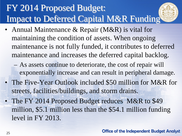- Annual Maintenance & Repair (M&R) is vital for maintaining the condition of assets. When ongoing maintenance is not fully funded, it contributes to deferred maintenance and increases the deferred capital backlog.
	- As assets continue to deteriorate, the cost of repair will exponentially increase and can result in peripheral damage.
- The Five-Year Outlook included \$50 million for M&R for streets, facilities/buildings, and storm drains.
- The FY 2014 Proposed Budget reduces M&R to \$49 million, \$5.1 million less than the \$54.1 million funding level in FY 2013.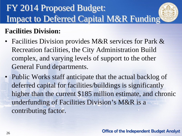#### **Facilities Division:**

- Facilities Division provides M&R services for Park & Recreation facilities, the City Administration Build complex, and varying levels of support to the other General Fund departments.
- Public Works staff anticipate that the actual backlog of deferred capital for facilities/buildings is significantly higher than the current \$185 million estimate, and chronic underfunding of Facilities Division's M&R is a contributing factor.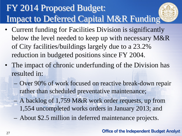

- The impact of chronic underfunding of the Division has resulted in:
	- Over 90% of work focused on reactive break-down repair rather than scheduled preventative maintenance;
	- A backlog of 1,759 M&R work order requests, up from 1,554 uncompleted works orders in January 2013; and
	- About \$2.5 million in deferred maintenance projects.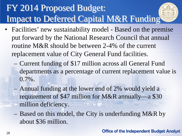

- Facilities' new sustainability model Based on the premise put forward by the National Research Council that annual routine M&R should be between 2-4% of the current replacement value of City General Fund facilities.
	- Current funding of \$17 million across all General Fund departments as a percentage of current replacement value is 0.7%.
	- Annual funding at the lower end of 2% would yield a requirement of \$47 million for M&R annually—a \$30 million deficiency.
	- Based on this model, the City is underfunding M&R by about \$36 million.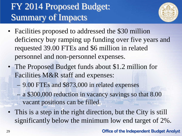### FY 2014 Proposed Budget: Summary of Impacts



- Facilities proposed to addressed the \$30 million deficiency buy ramping up funding over five years and requested 39.00 FTEs and \$6 million in related personnel and non-personnel expenses.
- The Proposed Budget funds about \$1.2 million for Facilities M&R staff and expenses: – 9.00 FTEs and \$873,000 in related expenses – a \$300,000 reduction in vacancy savings so that 8.00 vacant positions can be filled.
- This is a step in the right direction, but the City is still significantly below the minimum low end target of 2%.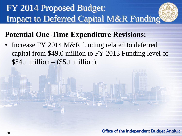#### **Potential One-Time Expenditure Revisions:**

Increase FY 2014 M&R funding related to deferred capital from \$49.0 million to FY 2013 Funding level of \$54.1 million – (\$5.1 million).

Office of the Independent Budget Analyst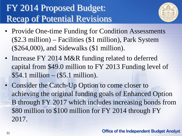### FY 2014 Proposed Budget: Recap of Potential Revisions



- Provide One-time Funding for Condition Assessments (\$2.3 million) – Facilities (\$1 million), Park System (\$264,000), and Sidewalks (\$1 million).
- Increase FY 2014 M&R funding related to deferred capital from \$49.0 million to FY 2013 Funding level of \$54.1 million – (\$5.1 million).
- Consider the Catch-Up Option to come closer to achieving the original funding goals of Enhanced Option B through FY 2017 which includes increasing bonds from \$80 million to \$100 million for FY 2014 through FY 2017.